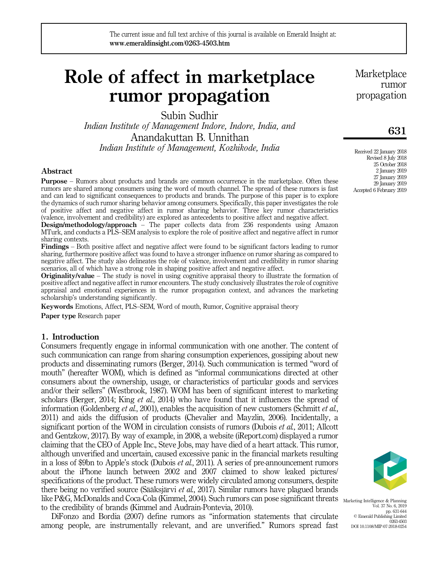# Role of affect in marketplace rumor propagation

Subin Sudhir

*Indian Institute of Management Indore, Indore, India, and* Anandakuttan B. Unnithan *Indian Institute of Management, Kozhikode, India*

#### Abstract

Purpose – Rumors about products and brands are common occurrence in the marketplace. Often these rumors are shared among consumers using the word of mouth channel. The spread of these rumors is fast and can lead to significant consequences to products and brands. The purpose of this paper is to explore the dynamics of such rumor sharing behavior among consumers. Specifically, this paper investigates the role of positive affect and negative affect in rumor sharing behavior. Three key rumor characteristics (valence, involvement and credibility) are explored as antecedents to positive affect and negative affect.

Design/methodology/approach – The paper collects data from 236 respondents using Amazon MTurk, and conducts a PLS–SEM analysis to explore the role of positive affect and negative affect in rumor sharing contexts.

Findings – Both positive affect and negative affect were found to be significant factors leading to rumor sharing, furthermore positive affect was found to have a stronger influence on rumor sharing as compared to negative affect. The study also delineates the role of valence, involvement and credibility in rumor sharing scenarios, all of which have a strong role in shaping positive affect and negative affect.

Originality/value – The study is novel in using cognitive appraisal theory to illustrate the formation of positive affect and negative affect in rumor encounters. The study conclusively illustrates the role of cognitive appraisal and emotional experiences in the rumor propagation context, and advances the marketing scholarship's understanding significantly.

Keywords Emotions, Affect, PLS–SEM, Word of mouth, Rumor, Cognitive appraisal theory

Paper type Research paper

## 1. Introduction

Consumers frequently engage in informal communication with one another. The content of such communication can range from sharing consumption experiences, gossiping about new products and disseminating rumors (Berger, 2014). Such communication is termed "word of mouth" (hereafter WOM), which is defined as "informal communications directed at other consumers about the ownership, usage, or characteristics of particular goods and services and/or their sellers" (Westbrook, 1987). WOM has been of significant interest to marketing scholars (Berger, 2014; King *et al.*, 2014) who have found that it influences the spread of information (Goldenberg *et al.*, 2001), enables the acquisition of new customers (Schmitt *et al.*, 2011) and aids the diffusion of products (Chevalier and Mayzlin, 2006). Incidentally, a significant portion of the WOM in circulation consists of rumors (Dubois *et al.*, 2011; Allcott and Gentzkow, 2017). By way of example, in 2008, a website (iReport.com) displayed a rumor claiming that the CEO of Apple Inc., Steve Jobs, may have died of a heart attack. This rumor, although unverified and uncertain, caused excessive panic in the financial markets resulting in a loss of \$9bn to Apple's stock (Dubois *et al.*, 2011). A series of pre-announcement rumors about the iPhone launch between 2002 and 2007 claimed to show leaked pictures/ specifications of the product. These rumors were widely circulated among consumers, despite there being no verified source (Sääksjärvi *et al.*, 2017). Similar rumors have plagued brands like P&G, McDonalds and Coca-Cola (Kimmel, 2004). Such rumors can pose significant threats Marketing Intelligence & Planning to the credibility of brands (Kimmel and Audrain-Pontevia, 2010).

DiFonzo and Bordia (2007) define rumors as "information statements that circulate among people, are instrumentally relevant, and are unverified." Rumors spread fast **Marketplace** rumor propagation

## 631

Received 22 January 2018 Revised 8 July 2018 25 October 2018 2 January 2019 27 January 2019 29 January 2019 Accepted 6 February 2019



Vol. 37 No. 6, 2019 pp. 631-644 © Emerald Publishing Limited 0263-4503 DOI 10.1108/MIP-07-2018-0254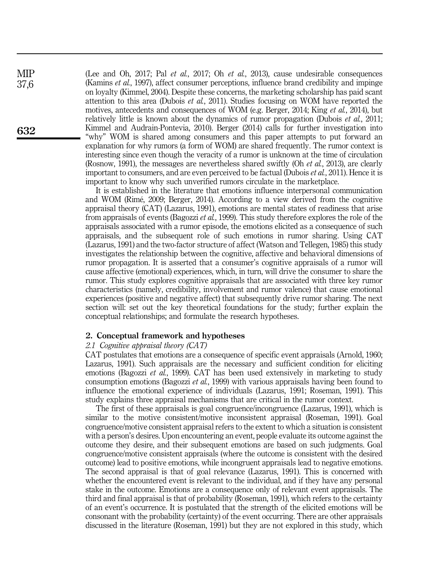(Lee and Oh, 2017; Pal *et al.*, 2017; Oh *et al.*, 2013), cause undesirable consequences (Kamins *et al.*, 1997), affect consumer perceptions, influence brand credibility and impinge on loyalty (Kimmel, 2004). Despite these concerns, the marketing scholarship has paid scant attention to this area (Dubois *et al.*, 2011). Studies focusing on WOM have reported the motives, antecedents and consequences of WOM (e.g. Berger, 2014; King *et al.*, 2014), but relatively little is known about the dynamics of rumor propagation (Dubois *et al.*, 2011; Kimmel and Audrain-Pontevia, 2010). Berger (2014) calls for further investigation into "why" WOM is shared among consumers and this paper attempts to put forward an explanation for why rumors (a form of WOM) are shared frequently. The rumor context is interesting since even though the veracity of a rumor is unknown at the time of circulation (Rosnow, 1991), the messages are nevertheless shared swiftly (Oh *et al.*, 2013), are clearly important to consumers, and are even perceived to be factual (Dubois *et al.*, 2011). Hence it is important to know why such unverified rumors circulate in the marketplace.

It is established in the literature that emotions influence interpersonal communication and WOM (Rimé, 2009; Berger, 2014). According to a view derived from the cognitive appraisal theory (CAT) (Lazarus, 1991), emotions are mental states of readiness that arise from appraisals of events (Bagozzi *et al.*, 1999). This study therefore explores the role of the appraisals associated with a rumor episode, the emotions elicited as a consequence of such appraisals, and the subsequent role of such emotions in rumor sharing. Using CAT (Lazarus, 1991) and the two-factor structure of affect (Watson and Tellegen, 1985) this study investigates the relationship between the cognitive, affective and behavioral dimensions of rumor propagation. It is asserted that a consumer's cognitive appraisals of a rumor will cause affective (emotional) experiences, which, in turn, will drive the consumer to share the rumor. This study explores cognitive appraisals that are associated with three key rumor characteristics (namely, credibility, involvement and rumor valence) that cause emotional experiences (positive and negative affect) that subsequently drive rumor sharing. The next section will: set out the key theoretical foundations for the study; further explain the conceptual relationships; and formulate the research hypotheses.

#### 2. Conceptual framework and hypotheses

#### *2.1 Cognitive appraisal theory (CAT)*

CAT postulates that emotions are a consequence of specific event appraisals (Arnold, 1960; Lazarus, 1991). Such appraisals are the necessary and sufficient condition for eliciting emotions (Bagozzi *et al.*, 1999). CAT has been used extensively in marketing to study consumption emotions (Bagozzi *et al.*, 1999) with various appraisals having been found to influence the emotional experience of individuals (Lazarus, 1991; Roseman, 1991). This study explains three appraisal mechanisms that are critical in the rumor context.

The first of these appraisals is goal congruence/incongruence (Lazarus, 1991), which is similar to the motive consistent/motive inconsistent appraisal (Roseman, 1991). Goal congruence/motive consistent appraisal refers to the extent to which a situation is consistent with a person's desires. Upon encountering an event, people evaluate its outcome against the outcome they desire, and their subsequent emotions are based on such judgments. Goal congruence/motive consistent appraisals (where the outcome is consistent with the desired outcome) lead to positive emotions, while incongruent appraisals lead to negative emotions. The second appraisal is that of goal relevance (Lazarus, 1991). This is concerned with whether the encountered event is relevant to the individual, and if they have any personal stake in the outcome. Emotions are a consequence only of relevant event appraisals. The third and final appraisal is that of probability (Roseman, 1991), which refers to the certainty of an event's occurrence. It is postulated that the strength of the elicited emotions will be consonant with the probability (certainty) of the event occurring. There are other appraisals discussed in the literature (Roseman, 1991) but they are not explored in this study, which

**MIP** 37,6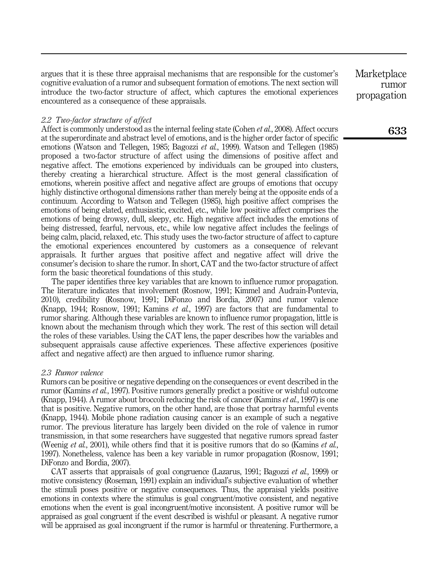argues that it is these three appraisal mechanisms that are responsible for the customer's cognitive evaluation of a rumor and subsequent formation of emotions. The next section will introduce the two-factor structure of affect, which captures the emotional experiences encountered as a consequence of these appraisals.

#### *2.2 Two-factor structure of affect*

Affect is commonly understood as the internal feeling state (Cohen *et al.*, 2008). Affect occurs at the superordinate and abstract level of emotions, and is the higher order factor of specific emotions (Watson and Tellegen, 1985; Bagozzi *et al.*, 1999). Watson and Tellegen (1985) proposed a two-factor structure of affect using the dimensions of positive affect and negative affect. The emotions experienced by individuals can be grouped into clusters, thereby creating a hierarchical structure. Affect is the most general classification of emotions, wherein positive affect and negative affect are groups of emotions that occupy highly distinctive orthogonal dimensions rather than merely being at the opposite ends of a continuum. According to Watson and Tellegen (1985), high positive affect comprises the emotions of being elated, enthusiastic, excited, etc., while low positive affect comprises the emotions of being drowsy, dull, sleepy, etc. High negative affect includes the emotions of being distressed, fearful, nervous, etc., while low negative affect includes the feelings of being calm, placid, relaxed, etc. This study uses the two-factor structure of affect to capture the emotional experiences encountered by customers as a consequence of relevant appraisals. It further argues that positive affect and negative affect will drive the consumer's decision to share the rumor. In short, CAT and the two-factor structure of affect form the basic theoretical foundations of this study.

The paper identifies three key variables that are known to influence rumor propagation. The literature indicates that involvement (Rosnow, 1991; Kimmel and Audrain-Pontevia, 2010), credibility (Rosnow, 1991; DiFonzo and Bordia, 2007) and rumor valence (Knapp, 1944; Rosnow, 1991; Kamins *et al.*, 1997) are factors that are fundamental to rumor sharing. Although these variables are known to influence rumor propagation, little is known about the mechanism through which they work. The rest of this section will detail the roles of these variables. Using the CAT lens, the paper describes how the variables and subsequent appraisals cause affective experiences. These affective experiences (positive affect and negative affect) are then argued to influence rumor sharing.

#### *2.3 Rumor valence*

Rumors can be positive or negative depending on the consequences or event described in the rumor (Kamins *et al.*, 1997). Positive rumors generally predict a positive or wishful outcome (Knapp, 1944). A rumor about broccoli reducing the risk of cancer (Kamins *et al.*, 1997) is one that is positive. Negative rumors, on the other hand, are those that portray harmful events (Knapp, 1944). Mobile phone radiation causing cancer is an example of such a negative rumor. The previous literature has largely been divided on the role of valence in rumor transmission, in that some researchers have suggested that negative rumors spread faster (Weenig *et al.*, 2001), while others find that it is positive rumors that do so (Kamins *et al.*, 1997). Nonetheless, valence has been a key variable in rumor propagation (Rosnow, 1991; DiFonzo and Bordia, 2007).

CAT asserts that appraisals of goal congruence (Lazarus, 1991; Bagozzi *et al.*, 1999) or motive consistency (Roseman, 1991) explain an individual's subjective evaluation of whether the stimuli poses positive or negative consequences. Thus, the appraisal yields positive emotions in contexts where the stimulus is goal congruent/motive consistent, and negative emotions when the event is goal incongruent/motive inconsistent. A positive rumor will be appraised as goal congruent if the event described is wishful or pleasant. A negative rumor will be appraised as goal incongruent if the rumor is harmful or threatening. Furthermore, a **Marketplace** rumor propagation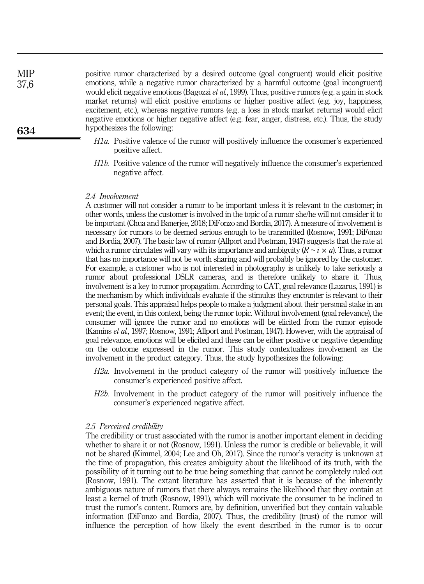positive rumor characterized by a desired outcome (goal congruent) would elicit positive emotions, while a negative rumor characterized by a harmful outcome (goal incongruent) would elicit negative emotions (Bagozzi *et al.*, 1999). Thus, positive rumors (e.g. a gain in stock market returns) will elicit positive emotions or higher positive affect (e.g. joy, happiness, excitement, etc.), whereas negative rumors (e.g. a loss in stock market returns) would elicit negative emotions or higher negative affect (e.g. fear, anger, distress, etc.). Thus, the study hypothesizes the following:

- *H1a.* Positive valence of the rumor will positively influence the consumer's experienced positive affect.
- *H1b.* Positive valence of the rumor will negatively influence the consumer's experienced negative affect.

## *2.4 Involvement*

A customer will not consider a rumor to be important unless it is relevant to the customer; in other words, unless the customer is involved in the topic of a rumor she/he will not consider it to be important (Chua and Banerjee, 2018; DiFonzo and Bordia, 2017). A measure of involvement is necessary for rumors to be deemed serious enough to be transmitted (Rosnow, 1991; DiFonzo and Bordia, 2007). The basic law of rumor (Allport and Postman, 1947) suggests that the rate at which a rumor circulates will vary with its importance and ambiguity  $(R \sim i \times a)$ . Thus, a rumor that has no importance will not be worth sharing and will probably be ignored by the customer. For example, a customer who is not interested in photography is unlikely to take seriously a rumor about professional DSLR cameras, and is therefore unlikely to share it. Thus, involvement is a key to rumor propagation. According to CAT, goal relevance (Lazarus, 1991) is the mechanism by which individuals evaluate if the stimulus they encounter is relevant to their personal goals. This appraisal helps people to make a judgment about their personal stake in an event; the event, in this context, being the rumor topic. Without involvement (goal relevance), the consumer will ignore the rumor and no emotions will be elicited from the rumor episode (Kamins *et al.*, 1997; Rosnow, 1991; Allport and Postman, 1947). However, with the appraisal of goal relevance, emotions will be elicited and these can be either positive or negative depending on the outcome expressed in the rumor. This study contextualizes involvement as the involvement in the product category. Thus, the study hypothesizes the following:

- *H2a.* Involvement in the product category of the rumor will positively influence the consumer's experienced positive affect.
- *H2b.* Involvement in the product category of the rumor will positively influence the consumer's experienced negative affect.

#### *2.5 Perceived credibility*

The credibility or trust associated with the rumor is another important element in deciding whether to share it or not (Rosnow, 1991). Unless the rumor is credible or believable, it will not be shared (Kimmel, 2004; Lee and Oh, 2017). Since the rumor's veracity is unknown at the time of propagation, this creates ambiguity about the likelihood of its truth, with the possibility of it turning out to be true being something that cannot be completely ruled out (Rosnow, 1991). The extant literature has asserted that it is because of the inherently ambiguous nature of rumors that there always remains the likelihood that they contain at least a kernel of truth (Rosnow, 1991), which will motivate the consumer to be inclined to trust the rumor's content. Rumors are, by definition, unverified but they contain valuable information (DiFonzo and Bordia, 2007). Thus, the credibility (trust) of the rumor will influence the perception of how likely the event described in the rumor is to occur

634

**MIP** 37,6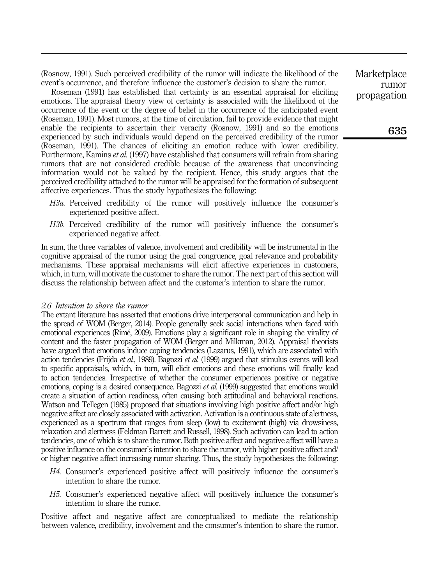(Rosnow, 1991). Such perceived credibility of the rumor will indicate the likelihood of the event's occurrence, and therefore influence the customer's decision to share the rumor.

Roseman (1991) has established that certainty is an essential appraisal for eliciting emotions. The appraisal theory view of certainty is associated with the likelihood of the occurrence of the event or the degree of belief in the occurrence of the anticipated event (Roseman, 1991). Most rumors, at the time of circulation, fail to provide evidence that might enable the recipients to ascertain their veracity (Rosnow, 1991) and so the emotions experienced by such individuals would depend on the perceived credibility of the rumor (Roseman, 1991). The chances of eliciting an emotion reduce with lower credibility. Furthermore, Kamins *et al.* (1997) have established that consumers will refrain from sharing rumors that are not considered credible because of the awareness that unconvincing information would not be valued by the recipient. Hence, this study argues that the perceived credibility attached to the rumor will be appraised for the formation of subsequent affective experiences. Thus the study hypothesizes the following:

- *H3a.* Perceived credibility of the rumor will positively influence the consumer's experienced positive affect.
- *H3b.* Perceived credibility of the rumor will positively influence the consumer's experienced negative affect.

In sum, the three variables of valence, involvement and credibility will be instrumental in the cognitive appraisal of the rumor using the goal congruence, goal relevance and probability mechanisms. These appraisal mechanisms will elicit affective experiences in customers, which, in turn, will motivate the customer to share the rumor. The next part of this section will discuss the relationship between affect and the customer's intention to share the rumor.

## *2.6 Intention to share the rumor*

The extant literature has asserted that emotions drive interpersonal communication and help in the spread of WOM (Berger, 2014). People generally seek social interactions when faced with emotional experiences (Rimé, 2009). Emotions play a significant role in shaping the virality of content and the faster propagation of WOM (Berger and Milkman, 2012). Appraisal theorists have argued that emotions induce coping tendencies (Lazarus, 1991), which are associated with action tendencies (Frijda *et al.*, 1989). Bagozzi *et al.* (1999) argued that stimulus events will lead to specific appraisals, which, in turn, will elicit emotions and these emotions will finally lead to action tendencies. Irrespective of whether the consumer experiences positive or negative emotions, coping is a desired consequence. Bagozzi *et al.* (1999) suggested that emotions would create a situation of action readiness, often causing both attitudinal and behavioral reactions. Watson and Tellegen (1985) proposed that situations involving high positive affect and/or high negative affect are closely associated with activation. Activation is a continuous state of alertness, experienced as a spectrum that ranges from sleep (low) to excitement (high) via drowsiness, relaxation and alertness (Feldman Barrett and Russell, 1998). Such activation can lead to action tendencies, one of which is to share the rumor. Both positive affect and negative affect will have a positive influence on the consumer's intention to share the rumor, with higher positive affect and/ or higher negative affect increasing rumor sharing. Thus, the study hypothesizes the following:

- *H4.* Consumer's experienced positive affect will positively influence the consumer's intention to share the rumor.
- *H5.* Consumer's experienced negative affect will positively influence the consumer's intention to share the rumor.

Positive affect and negative affect are conceptualized to mediate the relationship between valence, credibility, involvement and the consumer's intention to share the rumor.

**Marketplace** rumor propagation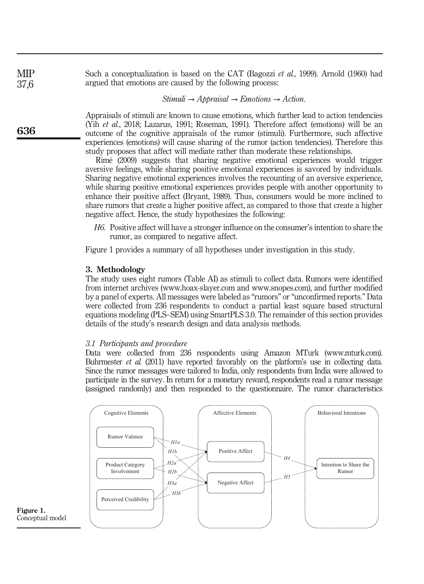Such a conceptualization is based on the CAT (Bagozzi *et al.*, 1999). Arnold (1960) had argued that emotions are caused by the following process:

*Stimuli* → *Appraisal* → *Emotions* → *Action*:

Appraisals of stimuli are known to cause emotions, which further lead to action tendencies (Yih *et al.*, 2018; Lazarus, 1991; Roseman, 1991). Therefore affect (emotions) will be an outcome of the cognitive appraisals of the rumor (stimuli). Furthermore, such affective experiences (emotions) will cause sharing of the rumor (action tendencies). Therefore this study proposes that affect will mediate rather than moderate these relationships.

Rimé (2009) suggests that sharing negative emotional experiences would trigger aversive feelings, while sharing positive emotional experiences is savored by individuals. Sharing negative emotional experiences involves the recounting of an aversive experience, while sharing positive emotional experiences provides people with another opportunity to enhance their positive affect (Bryant, 1989). Thus, consumers would be more inclined to share rumors that create a higher positive affect, as compared to those that create a higher negative affect. Hence, the study hypothesizes the following:

*H6.* Positive affect will have a stronger influence on the consumer's intention to share the rumor, as compared to negative affect.

Figure 1 provides a summary of all hypotheses under investigation in this study.

## 3. Methodology

The study uses eight rumors (Table AI) as stimuli to collect data. Rumors were identified from internet archives (www.hoax-slayer.com and www.snopes.com), and further modified by a panel of experts. All messages were labeled as "rumors" or "unconfirmed reports." Data were collected from 236 respondents to conduct a partial least square based structural equations modeling (PLS–SEM) using SmartPLS 3.0. The remainder of this section provides details of the study's research design and data analysis methods.

## *3.1 Participants and procedure*

Data were collected from 236 respondents using Amazon MTurk (www.mturk.com). Buhrmester *et al.* (2011) have reported favorably on the platform's use in collecting data. Since the rumor messages were tailored to India, only respondents from India were allowed to participate in the survey. In return for a monetary reward, respondents read a rumor message (assigned randomly) and then responded to the questionnaire. The rumor characteristics





636

MIP 37,6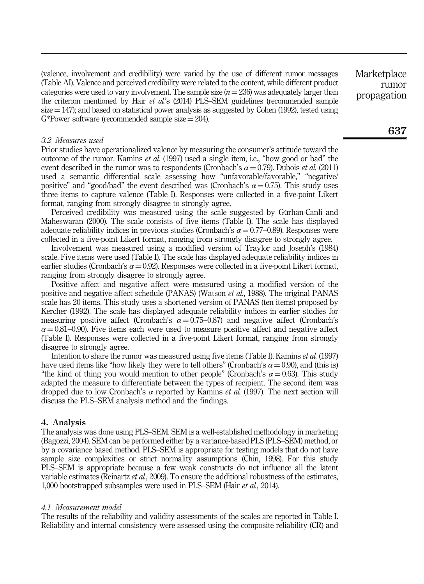(valence, involvement and credibility) were varied by the use of different rumor messages (Table AI). Valence and perceived credibility were related to the content, while different product categories were used to vary involvement. The sample size  $(n = 236)$  was adequately larger than the criterion mentioned by Hair *et al.*'s (2014) PLS–SEM guidelines (recommended sample  $size = 147$ ; and based on statistical power analysis as suggested by Cohen (1992), tested using G\*Power software (recommended sample size  $= 204$ ).

#### *3.2 Measures used*

Prior studies have operationalized valence by measuring the consumer's attitude toward the outcome of the rumor. Kamins *et al.* (1997) used a single item, i.e., "how good or bad" the event described in the rumor was to respondents (Cronbach's  $\alpha = 0.79$ ). Dubois *et al.* (2011) used a semantic differential scale assessing how "unfavorable/favorable," "negative/ positive" and "good/bad" the event described was (Cronbach's  $\alpha = 0.75$ ). This study uses three items to capture valence (Table I). Responses were collected in a five-point Likert format, ranging from strongly disagree to strongly agree.

Perceived credibility was measured using the scale suggested by Gürhan-Canli and Maheswaran (2000). The scale consists of five items (Table I). The scale has displayed adequate reliability indices in previous studies (Cronbach's  $\alpha = 0.77$ –0.89). Responses were collected in a five-point Likert format, ranging from strongly disagree to strongly agree.

Involvement was measured using a modified version of Traylor and Joseph's (1984) scale. Five items were used (Table I). The scale has displayed adequate reliability indices in earlier studies (Cronbach's  $\alpha = 0.92$ ). Responses were collected in a five-point Likert format, ranging from strongly disagree to strongly agree.

Positive affect and negative affect were measured using a modified version of the positive and negative affect schedule (PANAS) (Watson *et al.*, 1988). The original PANAS scale has 20 items. This study uses a shortened version of PANAS (ten items) proposed by Kercher (1992). The scale has displayed adequate reliability indices in earlier studies for measuring positive affect (Cronbach's  $\alpha = 0.75{\text -}0.87$ ) and negative affect (Cronbach's  $\alpha = 0.81 - 0.90$ . Five items each were used to measure positive affect and negative affect (Table I). Responses were collected in a five-point Likert format, ranging from strongly disagree to strongly agree.

Intention to share the rumor was measured using five items (Table I). Kamins *et al.* (1997) have used items like "how likely they were to tell others" (Cronbach's  $\alpha = 0.90$ ), and (this is) "the kind of thing you would mention to other people" (Cronbach's  $\alpha = 0.63$ ). This study adapted the measure to differentiate between the types of recipient. The second item was dropped due to low Cronbach's  $\alpha$  reported by Kamins *et al.* (1997). The next section will discuss the PLS–SEM analysis method and the findings.

#### 4. Analysis

The analysis was done using PLS–SEM. SEM is a well-established methodology in marketing (Bagozzi, 2004). SEM can be performed either by a variance-based PLS (PLS–SEM) method, or by a covariance based method. PLS–SEM is appropriate for testing models that do not have sample size complexities or strict normality assumptions (Chin, 1998). For this study PLS–SEM is appropriate because a few weak constructs do not influence all the latent variable estimates (Reinartz *et al.*, 2009). To ensure the additional robustness of the estimates, 1,000 bootstrapped subsamples were used in PLS–SEM (Hair *et al.*, 2014).

#### *4.1 Measurement model*

The results of the reliability and validity assessments of the scales are reported in Table I. Reliability and internal consistency were assessed using the composite reliability (CR) and **Marketplace** rumor propagation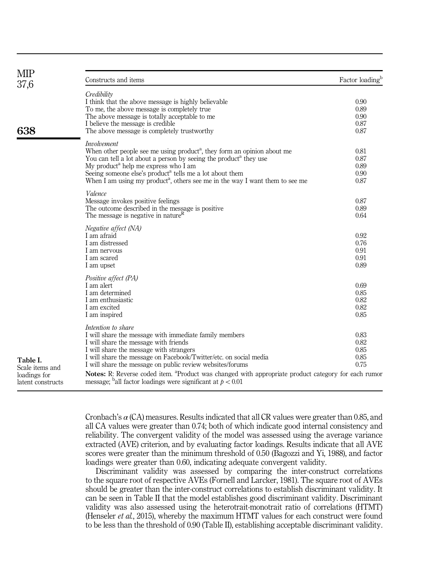| <b>MIP</b><br>37,6              | Constructs and items                                                                                                   | Factor loading <sup>b</sup> |
|---------------------------------|------------------------------------------------------------------------------------------------------------------------|-----------------------------|
|                                 | Credibility                                                                                                            |                             |
|                                 | I think that the above message is highly believable                                                                    | 0.90                        |
|                                 | To me, the above message is completely true.                                                                           | 0.89                        |
|                                 | The above message is totally acceptable to me                                                                          | 0.90                        |
|                                 | I believe the message is credible                                                                                      | 0.87                        |
| 638                             | The above message is completely trustworthy                                                                            | 0.87                        |
|                                 | <i>Involvement</i>                                                                                                     |                             |
|                                 | When other people see me using product <sup>a</sup> , they form an opinion about me                                    | 0.81                        |
|                                 | You can tell a lot about a person by seeing the product <sup>a</sup> they use                                          | 0.87                        |
|                                 | My product <sup>a</sup> help me express who I am                                                                       | 0.89                        |
|                                 | Seeing someone else's product <sup>a</sup> tells me a lot about them                                                   | 0.90                        |
|                                 | When I am using my product <sup>a</sup> , others see me in the way I want them to see me                               | 0.87                        |
|                                 | Valence                                                                                                                |                             |
|                                 | Message invokes positive feelings                                                                                      | 0.87<br>0.89                |
|                                 | The outcome described in the message is positive<br>The message is negative in nature <sup>R</sup>                     | 0.64                        |
|                                 | Negative affect (NA)                                                                                                   |                             |
|                                 | I am afraid                                                                                                            | 0.92                        |
|                                 | I am distressed                                                                                                        | 0.76                        |
|                                 | I am nervous                                                                                                           | 0.91                        |
|                                 | I am scared                                                                                                            | 0.91                        |
|                                 | I am upset                                                                                                             | 0.89                        |
|                                 | Positive affect (PA)                                                                                                   |                             |
|                                 | I am alert                                                                                                             | 0.69                        |
|                                 | I am determined                                                                                                        | 0.85                        |
|                                 | I am enthusiastic                                                                                                      | 0.82                        |
|                                 | I am excited                                                                                                           | 0.82                        |
|                                 | I am inspired                                                                                                          | 0.85                        |
|                                 | Intention to share                                                                                                     | 0.83                        |
|                                 | I will share the message with immediate family members                                                                 | 0.82                        |
| Table I.                        | I will share the message with friends<br>I will share the message with strangers                                       | 0.85                        |
|                                 | I will share the message on Facebook/Twitter/etc. on social media                                                      | 0.85                        |
|                                 | I will share the message on public review websites/forums                                                              | 0.75                        |
| Scale items and<br>loadings for | <b>Notes:</b> R: Reverse coded item. <sup>a</sup> Product was changed with appropriate product category for each rumor |                             |
| latent constructs               | message; <sup>b</sup> all factor loadings were significant at $p < 0.01$                                               |                             |

Cronbach's  $\alpha$  (CA) measures. Results indicated that all CR values were greater than 0.85, and all CA values were greater than 0.74; both of which indicate good internal consistency and reliability. The convergent validity of the model was assessed using the average variance extracted (AVE) criterion, and by evaluating factor loadings. Results indicate that all AVE scores were greater than the minimum threshold of 0.50 (Bagozzi and Yi, 1988), and factor loadings were greater than 0.60, indicating adequate convergent validity.

Discriminant validity was assessed by comparing the inter-construct correlations to the square root of respective AVEs (Fornell and Larcker, 1981). The square root of AVEs should be greater than the inter-construct correlations to establish discriminant validity. It can be seen in Table II that the model establishes good discriminant validity. Discriminant validity was also assessed using the heterotrait-monotrait ratio of correlations (HTMT) (Henseler *et al.*, 2015), whereby the maximum HTMT values for each construct were found to be less than the threshold of 0.90 (Table II), establishing acceptable discriminant validity.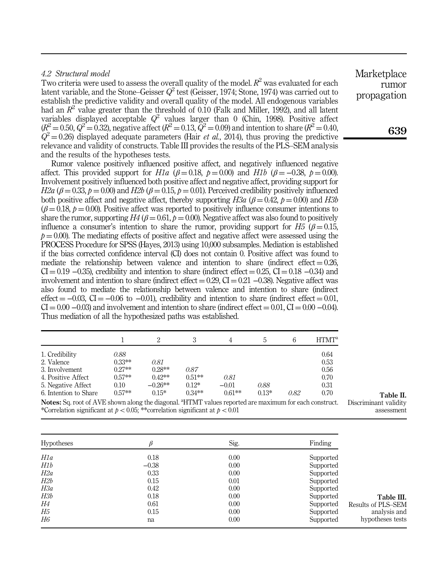## *4.2 Structural model*

Two criteria were used to assess the overall quality of the model.  $R^2$  was evaluated for each latent variable, and the Stone–Geisser *Q* 2 test (Geisser, 1974; Stone, 1974) was carried out to establish the predictive validity and overall quality of the model. All endogenous variables had an *R* 2 value greater than the threshold of 0.10 (Falk and Miller, 1992), and all latent variables displayed acceptable  $Q^2$  values larger than 0 (Chin, 1998). Positive affect  $(R^2 = 0.50, \, Q^2 = 0.32)$ , negative affect ( $R^2 = 0.13, \, \bar{Q}^2 = 0.09$ ) and intention to share ( $R^2 = 0.40,$  $Q^2$  = 0.26) displayed adequate parameters (Hair *et al.*, 2014), thus proving the predictive relevance and validity of constructs. Table III provides the results of the PLS–SEM analysis and the results of the hypotheses tests.

Rumor valence positively influenced positive affect, and negatively influenced negative affect. This provided support for *H1a* ( $\beta = 0.18$ ,  $p = 0.00$ ) and *H1b* ( $\beta = -0.38$ ,  $p = 0.00$ ). Involvement positively influenced both positive affect and negative affect, providing support for  $H2a$  ( $\beta = 0.33$ ,  $p = 0.00$ ) and  $H2b$  ( $\beta = 0.15$ ,  $p = 0.01$ ). Perceived credibility positively influenced both positive affect and negative affect, thereby supporting  $H3a$  ( $\beta = 0.42$ ,  $p = 0.00$ ) and  $H3b$  $(\beta = 0.18, p = 0.00)$ . Positive affect was reported to positively influence consumer intentions to share the rumor, supporting  $H4$  ( $\beta = 0.61$ ,  $p = 0.00$ ). Negative affect was also found to positively influence a consumer's intention to share the rumor, providing support for  $H_5$  ( $\beta = 0.15$ ,  $p = 0.00$ ). The mediating effects of positive affect and negative affect were assessed using the PROCESS Procedure for SPSS (Hayes, 2013) using 10,000 subsamples. Mediation is established if the bias corrected confidence interval (CI) does not contain 0. Positive affect was found to mediate the relationship between valence and intention to share (indirect effect  $= 0.26$ ,  $CI = 0.19 - 0.35$ , credibility and intention to share (indirect effect = 0.25, CI = 0.18 -0.34) and involvement and intention to share (indirect effect  $= 0.29$ , CI  $= 0.21$   $-0.38$ ). Negative affect was also found to mediate the relationship between valence and intention to share (indirect effect  $= -0.03$ , CI =  $-0.06$  to  $-0.01$ ), credibility and intention to share (indirect effect  $= 0.01$ ,  $CI = 0.00 - 0.03$  and involvement and intention to share (indirect effect = 0.01, CI = 0.00 –0.04). Thus mediation of all the hypothesized paths was established.

|                                                                   |                              |                                   | 3                               |                             | b.              | 6    | HTMT <sup>a</sup>    |
|-------------------------------------------------------------------|------------------------------|-----------------------------------|---------------------------------|-----------------------------|-----------------|------|----------------------|
| 1. Credibility<br>2. Valence                                      | 0.88<br>$0.33***$            | 0.81                              |                                 |                             |                 |      | 0.64<br>0.53         |
| 3. Involvement                                                    | $0.27**$                     | $0.28**$                          | 0.87                            |                             |                 |      | 0.56                 |
| 4. Positive Affect<br>5. Negative Affect<br>6. Intention to Share | $0.57**$<br>0.10<br>$0.57**$ | $0.42***$<br>$-0.26**$<br>$0.15*$ | $0.51**$<br>$0.12*$<br>$0.34**$ | 0.81<br>$-0.01$<br>$0.61**$ | 0.88<br>$0.13*$ | 0.82 | 0.70<br>0.31<br>0.70 |

Notes: Sq. root of AVE shown along the diagonal. <sup>a</sup>HTMT values reported are maximum for each construct. \*Correlation significant at  $p < 0.05$ ; \*\*correlation significant at  $p < 0.01$ 

| <b>Hypotheses</b> |         | Sig. | Finding   |                    |
|-------------------|---------|------|-----------|--------------------|
| H1a               | 0.18    | 0.00 | Supported |                    |
| H1b               | $-0.38$ | 0.00 | Supported |                    |
| H2a               | 0.33    | 0.00 | Supported |                    |
| H2b               | 0.15    | 0.01 | Supported |                    |
| H3a               | 0.42    | 0.00 | Supported |                    |
| H3b               | 0.18    | 0.00 | Supported | Table III.         |
| Н4                | 0.61    | 0.00 | Supported | Results of PLS-SEM |
| Н5                | 0.15    | 0.00 | Supported | analysis and       |
| H6                | na      | 0.00 | Supported | hypotheses tests   |

Marketplace rumor propagation

Table II.

Discriminant validity assessment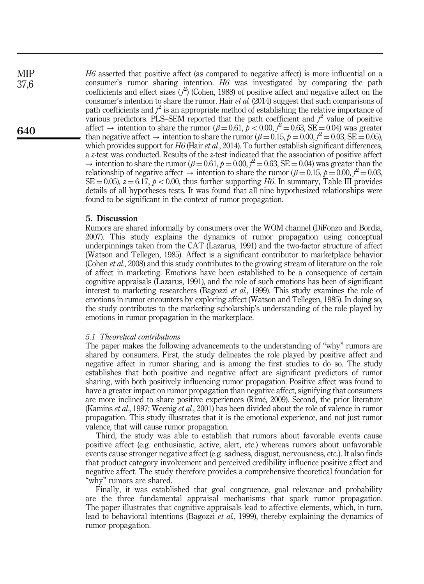**MIP** 37,6

640

*H6* asserted that positive affect (as compared to negative affect) is more influential on a consumer's rumor sharing intention. *H6* was investigated by comparing the path coefficients and effect sizes ( $f$ <sup>2</sup>) (Cohen, 1988) of positive affect and negative affect on the consumer's intention to share the rumor. Hair *et al.* (2014) suggest that such comparisons of path coefficients and  $f^2$  is an appropriate method of establishing the relative importance of various predictors. PLS–SEM reported that the path coefficient and  $f^2$  value of positive affect  $\rightarrow$  intention to share the rumor ( $\beta = 0.61$ ,  $\dot{\beta} < 0.00$ ,  $\dot{\beta}^2 = 0.63$ , SE = 0.04) was greater than negative affect  $\rightarrow$  intention to share the rumor ( $\beta = 0.15$ ,  $p = 0.00$ ,  $f^2 = 0.03$ , SE  $= 0.05$ ), which provides support for *H6* (Hair *et al.*, 2014). To further establish significant differences, a *z*-test was conducted. Results of the *z*-test indicated that the association of positive affect  $\rightarrow$  intention to share the rumor ( $\beta = 0.61$ ,  $p = 0.00$ ,  $\beta^2 = 0.63$ , SE = 0.04) was greater than the relationship of negative affect  $\rightarrow$  intention to share the rumor ( $\beta = 0.15$ ,  $p = 0.00$ ,  $f^2 = 0.03$ ,  $SE = 0.05$ ,  $z = 6.17$ ,  $p < 0.00$ , thus further supporting *H6*. In summary, Table III provides details of all hypotheses tests. It was found that all nine hypothesized relationships were found to be significant in the context of rumor propagation.

## 5. Discussion

Rumors are shared informally by consumers over the WOM channel (DiFonzo and Bordia, 2007). This study explains the dynamics of rumor propagation using conceptual underpinnings taken from the CAT (Lazarus, 1991) and the two-factor structure of affect (Watson and Tellegen, 1985). Affect is a significant contributor to marketplace behavior (Cohen *et al.*, 2008) and this study contributes to the growing stream of literature on the role of affect in marketing. Emotions have been established to be a consequence of certain cognitive appraisals (Lazarus, 1991), and the role of such emotions has been of significant interest to marketing researchers (Bagozzi *et al.*, 1999). This study examines the role of emotions in rumor encounters by exploring affect (Watson and Tellegen, 1985). In doing so, the study contributes to the marketing scholarship's understanding of the role played by emotions in rumor propagation in the marketplace.

#### *5.1 Theoretical contributions*

The paper makes the following advancements to the understanding of "why" rumors are shared by consumers. First, the study delineates the role played by positive affect and negative affect in rumor sharing, and is among the first studies to do so. The study establishes that both positive and negative affect are significant predictors of rumor sharing, with both positively influencing rumor propagation. Positive affect was found to have a greater impact on rumor propagation than negative affect, signifying that consumers are more inclined to share positive experiences (Rimé, 2009). Second, the prior literature (Kamins *et al.*, 1997; Weenig *et al.*, 2001) has been divided about the role of valence in rumor propagation. This study illustrates that it is the emotional experience, and not just rumor valence, that will cause rumor propagation.

Third, the study was able to establish that rumors about favorable events cause positive affect (e.g. enthusiastic, active, alert, etc.) whereas rumors about unfavorable events cause stronger negative affect (e.g. sadness, disgust, nervousness, etc.). It also finds that product category involvement and perceived credibility influence positive affect and negative affect. The study therefore provides a comprehensive theoretical foundation for "why" rumors are shared.

Finally, it was established that goal congruence, goal relevance and probability are the three fundamental appraisal mechanisms that spark rumor propagation. The paper illustrates that cognitive appraisals lead to affective elements, which, in turn, lead to behavioral intentions (Bagozzi *et al.*, 1999), thereby explaining the dynamics of rumor propagation.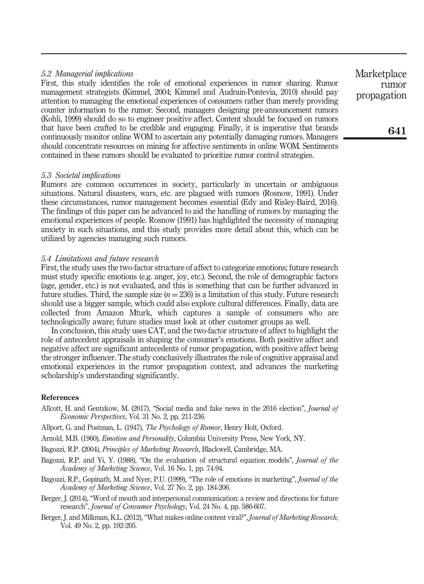## *5.2 Managerial implications*

First, this study identifies the role of emotional experiences in rumor sharing. Rumor management strategists (Kimmel, 2004; Kimmel and Audrain-Pontevia, 2010) should pay attention to managing the emotional experiences of consumers rather than merely providing counter information to the rumor. Second, managers designing pre-announcement rumors (Kohli, 1999) should do so to engineer positive affect. Content should be focused on rumors that have been crafted to be credible and engaging. Finally, it is imperative that brands continuously monitor online WOM to ascertain any potentially damaging rumors. Managers should concentrate resources on mining for affective sentiments in online WOM. Sentiments contained in these rumors should be evaluated to prioritize rumor control strategies.

## *5.3 Societal implications*

Rumors are common occurrences in society, particularly in uncertain or ambiguous situations. Natural disasters, wars, etc. are plagued with rumors (Rosnow, 1991). Under these circumstances, rumor management becomes essential (Edy and Risley-Baird, 2016). The findings of this paper can be advanced to aid the handling of rumors by managing the emotional experiences of people. Rosnow (1991) has highlighted the necessity of managing anxiety in such situations, and this study provides more detail about this, which can be utilized by agencies managing such rumors.

#### *5.4 Limitations and future research*

First, the study uses the two-factor structure of affect to categorize emotions; future research must study specific emotions (e.g. anger, joy, etc.). Second, the role of demographic factors (age, gender, etc.) is not evaluated, and this is something that can be further advanced in future studies. Third, the sample size  $(n = 236)$  is a limitation of this study. Future research should use a bigger sample, which could also explore cultural differences. Finally, data are collected from Amazon Mturk, which captures a sample of consumers who are technologically aware; future studies must look at other customer groups as well.

In conclusion, this study uses CAT, and the two-factor structure of affect to highlight the role of antecedent appraisals in shaping the consumer's emotions. Both positive affect and negative affect are significant antecedents of rumor propagation, with positive affect being the stronger influencer. The study conclusively illustrates the role of cognitive appraisal and emotional experiences in the rumor propagation context, and advances the marketing scholarship's understanding significantly.

#### References

- Allcott, H. and Gentzkow, M. (2017), "Social media and fake news in the 2016 election", *Journal of Economic Perspectives*, Vol. 31 No. 2, pp. 211-236.
- Allport, G. and Postman, L. (1947), *The Psychology of Rumor*, Henry Holt, Oxford.

Arnold, M.B. (1960), *Emotion and Personality*, Columbia University Press, New York, NY.

- Bagozzi, R.P. (2004), *Principles of Marketing Research*, Blackwell, Cambridge, MA.
- Bagozzi, R.P. and Yi, Y. (1988), "On the evaluation of structural equation models", *Journal of the Academy of Marketing Science*, Vol. 16 No. 1, pp. 74-94.
- Bagozzi, R.P., Gopinath, M. and Nyer, P.U. (1999), "The role of emotions in marketing", *Journal of the Academy of Marketing Science*, Vol. 27 No. 2, pp. 184-206.
- Berger, J. (2014), "Word of mouth and interpersonal communication: a review and directions for future research", *Journal of Consumer Psychology*, Vol. 24 No. 4, pp. 586-607.
- Berger, J. and Milkman, K.L. (2012), "What makes online content viral?", *Journal of Marketing Research*, Vol. 49 No. 2, pp. 192-205.

**Marketplace** rumor propagation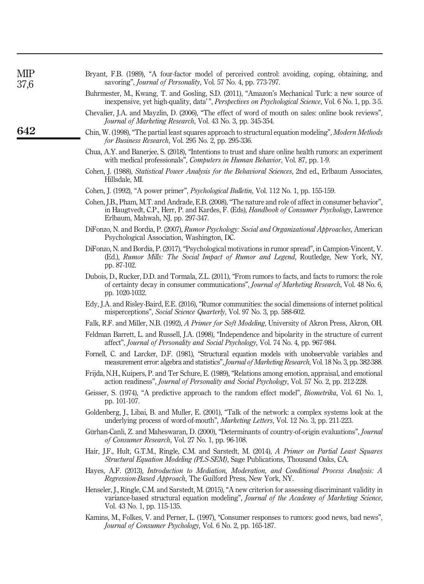| МIР<br>37,6 | Bryant, F.B. (1989), "A four-factor model of perceived control: avoiding, coping, obtaining, and<br>savoring", <i>Journal of Personality</i> , Vol. 57 No. 4, pp. 773-797.                                                                   |
|-------------|----------------------------------------------------------------------------------------------------------------------------------------------------------------------------------------------------------------------------------------------|
|             | Buhrmester, M., Kwang, T. and Gosling, S.D. (2011), "Amazon's Mechanical Turk: a new source of<br>inexpensive, yet high-quality, data'", <i>Perspectives on Psychological Science</i> , Vol. 6 No. 1, pp. 3-5.                               |
|             | Chevalier, J.A. and Mayzlin, D. (2006), "The effect of word of mouth on sales: online book reviews",<br>Journal of Marketing Research, Vol. 43 No. 3, pp. 345-354.                                                                           |
| 642         | Chin, W. (1998), "The partial least squares approach to structural equation modeling", Modern Methods<br>for Business Research, Vol. 295 No. 2, pp. 295-336.                                                                                 |
|             | Chua, A.Y. and Banerjee, S. (2018), "Intentions to trust and share online health rumors: an experiment<br>with medical professionals", <i>Computers in Human Behavior</i> , Vol. 87, pp. 1-9.                                                |
|             | Cohen, J. (1988), Statistical Power Analysis for the Behavioral Sciences, 2nd ed., Erlbaum Associates,<br>Hillsdale, MI.                                                                                                                     |
|             | Cohen, J. (1992), "A power primer", <i>Psychological Bulletin</i> , Vol. 112 No. 1, pp. 155-159.                                                                                                                                             |
|             | Cohen, J.B., Pham, M.T. and Andrade, E.B. (2008), "The nature and role of affect in consumer behavior",<br>in Haugtvedt, C.P., Herr, P. and Kardes, F. (Eds), Handbook of Consumer Psychology, Lawrence<br>Erlbaum, Mahwah, NJ, pp. 297-347. |
|             | DiFonzo, N. and Bordia, P. (2007), Rumor Psychology: Social and Organizational Approaches, American<br>Psychological Association, Washington, DC.                                                                                            |
|             | DiFonzo, N. and Bordia, P. (2017), "Psychological motivations in rumor spread", in Campion-Vincent, V.<br>(Ed.), Rumor Mills: The Social Impact of Rumor and Legend, Routledge, New York, NY,<br>pp. 87-102.                                 |
|             | Dubois, D., Rucker, D.D. and Tormala, Z.L. (2011), "From rumors to facts, and facts to rumors: the role<br>of certainty decay in consumer communications", Journal of Marketing Research, Vol. 48 No. 6,<br>pp. 1020-1032.                   |
|             | Edy, J.A. and Risley-Baird, E.E. (2016), "Rumor communities: the social dimensions of internet political<br>misperceptions", <i>Social Science Quarterly</i> , Vol. 97 No. 3, pp. 588-602.                                                   |
|             | Falk, R.F. and Miller, N.B. (1992), A Primer for Soft Modeling, University of Akron Press, Akron, OH.                                                                                                                                        |
|             | Feldman Barrett, L. and Russell, J.A. (1998), "Independence and bipolarity in the structure of current<br>affect", Journal of Personality and Social Psychology, Vol. 74 No. 4, pp. 967-984.                                                 |
|             | Fornell, C. and Larcker, D.F. (1981), "Structural equation models with unobservable variables and<br>measurement error: algebra and statistics", Journal of Marketing Research, Vol. 18 No. 3, pp. 382-388.                                  |
|             | Frijda, N.H., Kuipers, P. and Ter Schure, E. (1989), "Relations among emotion, appraisal, and emotional<br>action readiness", <i>Journal of Personality and Social Psychology</i> , Vol. 57 No. 2, pp. 212-228.                              |
|             | Geisser, S. (1974), "A predictive approach to the random effect model", <i>Biometrika</i> , Vol. 61 No. 1,<br>pp. 101-107.                                                                                                                   |
|             | Goldenberg, J., Libai, B. and Muller, E. (2001), "Talk of the network: a complex systems look at the<br>underlying process of word-of-mouth", Marketing Letters, Vol. 12 No. 3, pp. 211-223.                                                 |
|             | Gürhan-Canli, Z. and Maheswaran, D. (2000), "Determinants of country-of-origin evaluations", Journal<br>of Consumer Research, Vol. 27 No. 1, pp. 96-108.                                                                                     |
|             | Hair, J.F., Hult, G.T.M., Ringle, C.M. and Sarstedt, M. (2014), A Primer on Partial Least Squares<br>Structural Equation Modeling (PLS-SEM), Sage Publications, Thousand Oaks, CA.                                                           |
|             | Hayes, A.F. (2013), Introduction to Mediation, Moderation, and Conditional Process Analysis: A<br>Regression-Based Approach, The Guilford Press, New York, NY.                                                                               |
|             | Henseler, J., Ringle, C.M. and Sarstedt, M. (2015), "A new criterion for assessing discriminant validity in<br>variance-based structural equation modeling", Journal of the Academy of Marketing Science,<br>Vol. 43 No. 1, pp. 115-135.     |
|             | Kamins, M., Folkes, V. and Perner, L. (1997), "Consumer responses to rumors: good news, bad news",<br>Journal of Consumer Psychology, Vol. 6 No. 2, pp. 165-187.                                                                             |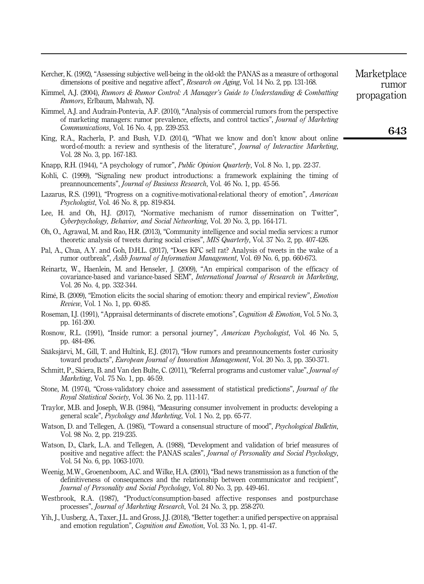| Kercher, K. (1992), "Assessing subjective well-being in the old-old: the PANAS as a measure of orthogonal |  |
|-----------------------------------------------------------------------------------------------------------|--|
| dimensions of positive and negative affect", <i>Research on Aging</i> , Vol. 14 No. 2, pp. 131-168.       |  |

- Kimmel, A.J. (2004), *Rumors & Rumor Control: A Manager*'*s Guide to Understanding & Combatting Rumors*, Erlbaum, Mahwah, NJ.
- Kimmel, A.J. and Audrain-Pontevia, A.F. (2010), "Analysis of commercial rumors from the perspective of marketing managers: rumor prevalence, effects, and control tactics", *Journal of Marketing Communications*, Vol. 16 No. 4, pp. 239-253.
- King, R.A., Racherla, P. and Bush, V.D. (2014), "What we know and don't know about online word-of-mouth: a review and synthesis of the literature", *Journal of Interactive Marketing*, Vol. 28 No. 3, pp. 167-183.
- Knapp, R.H. (1944), "A psychology of rumor", *Public Opinion Quarterly*, Vol. 8 No. 1, pp. 22-37.
- Kohli, C. (1999), "Signaling new product introductions: a framework explaining the timing of preannouncements", *Journal of Business Research*, Vol. 46 No. 1, pp. 45-56.
- Lazarus, R.S. (1991), "Progress on a cognitive-motivational-relational theory of emotion", *American Psychologist*, Vol. 46 No. 8, pp. 819-834.
- Lee, H. and Oh, H.J. (2017), "Normative mechanism of rumor dissemination on Twitter", *Cyberpsychology, Behavior, and Social Networking*, Vol. 20 No. 3, pp. 164-171.
- Oh, O., Agrawal, M. and Rao, H.R. (2013), "Community intelligence and social media services: a rumor theoretic analysis of tweets during social crises", *MIS Quarterly*, Vol. 37 No. 2, pp. 407-426.
- Pal, A., Chua, A.Y. and Goh, D.H.L. (2017), "Does KFC sell rat? Analysis of tweets in the wake of a rumor outbreak", *Aslib Journal of Information Management*, Vol. 69 No. 6, pp. 660-673.
- Reinartz, W., Haenlein, M. and Henseler, J. (2009), "An empirical comparison of the efficacy of covariance-based and variance-based SEM", *International Journal of Research in Marketing*, Vol. 26 No. 4, pp. 332-344.
- Rimé, B. (2009), "Emotion elicits the social sharing of emotion: theory and empirical review", *Emotion Review*, Vol. 1 No. 1, pp. 60-85.
- Roseman, I.J. (1991), "Appraisal determinants of discrete emotions", *Cognition & Emotion*, Vol. 5 No. 3, pp. 161-200.
- Rosnow, R.L. (1991), "Inside rumor: a personal journey", *American Psychologist*, Vol. 46 No. 5, pp. 484-496.
- Sääksjärvi, M., Gill, T. and Hultink, E.J. (2017), "How rumors and preannouncements foster curiosity toward products", *European Journal of Innovation Management*, Vol. 20 No. 3, pp. 350-371.
- Schmitt, P., Skiera, B. and Van den Bulte, C. (2011), "Referral programs and customer value", *Journal of Marketing*, Vol. 75 No. 1, pp. 46-59.
- Stone, M. (1974), "Cross-validatory choice and assessment of statistical predictions", *Journal of the Royal Statistical Society*, Vol. 36 No. 2, pp. 111-147.
- Traylor, M.B. and Joseph, W.B. (1984), "Measuring consumer involvement in products: developing a general scale", *Psychology and Marketing*, Vol. 1 No. 2, pp. 65-77.
- Watson, D. and Tellegen, A. (1985), "Toward a consensual structure of mood", *Psychological Bulletin*, Vol. 98 No. 2, pp. 219-235.
- Watson, D., Clark, L.A. and Tellegen, A. (1988), "Development and validation of brief measures of positive and negative affect: the PANAS scales", *Journal of Personality and Social Psychology*, Vol. 54 No. 6, pp. 1063-1070.
- Weenig, M.W., Groenenboom, A.C. and Wilke, H.A. (2001), "Bad news transmission as a function of the definitiveness of consequences and the relationship between communicator and recipient", *Journal of Personality and Social Psychology*, Vol. 80 No. 3, pp. 449-461.
- Westbrook, R.A. (1987), "Product/consumption-based affective responses and postpurchase processes", *Journal of Marketing Research*, Vol. 24 No. 3, pp. 258-270.
- Yih, J., Uusberg, A., Taxer, J.L. and Gross, J.J. (2018), "Better together: a unified perspective on appraisal and emotion regulation", *Cognition and Emotion*, Vol. 33 No. 1, pp. 41-47.

rumor propagation

Marketplace